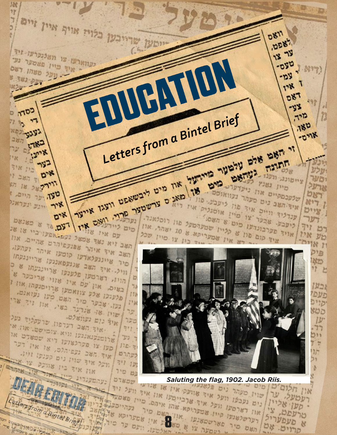

**SUPPORT 72572** 

בעוואוסם

- נעונעני פון

ועבע. שיו דיא

**DB11** 

DIS DET Y

ויימונג ויצול לעבור מופ

פעוו

**DDB3** 

 $18 - 18$ 

-080

-125

128

אלם צייטונג, ונענד

אירוחשב נים

איר השני איל

**DB7** 

-93

 $720$ 

780

-0714

עלע

פער

ארעי

N'Y

ציים

 $707$ 

25

**VD** 

פיק

מאו

77 E

 $|221$ 

Tayr

סויפ

80D

**ID** 

 $77$ 

D<sub>11</sub>

תו

 $51$ 

高

TN

אליין

סחים אם

 $\frac{1}{2}$ 

837

司与少

Saluting the flag, 1902. Jacob Riis.<br>תלום של פנים פי פולוגיש ומועל איז אוועל איז איז וועל ויד<br>עון אליין נים וקבעו וועל איז אווערווסען אוו איז וועל ויד<br>עוםם. צי

שות מעהר

出り

The

דערשלטנעו קייו. שכעריפא. שהן איתם. כיין

腾 智

-

.<br>- ישוארטו טו חשלנעלינד נע

עו עו חשלים<br>איד כויו פאסער גע

- עולל ממהו דשם

343-924

**ATOD** 

**KDJ 37237** 

**CTRID** 

**Acor** 

752

**D'\*** 

 $D^*$ 

יום לוודעלש אין ועם געבר את אי שו של מו של מו של מו של מו של מו של מו של מו של מו של מו של מו של מו של מו של מ<br>עם אין נשה שכשל נעבר אבויים. און

עם אין אפשל נעבד אפעו ב. און<br>השב זיא נשר אמנעטיהרם אהיים. און<br>השב איד איהר אפנעטיהרם איהר ועהעו

שב איר שמונעלאדעו קוסעו ארייננעתו<br>סיר שמונעלאדעו שרייננעתו ש<br>וויל. איר השב שננעסאנגעו שר

זווז, רבו עם איז שווי שו או ז'

ויא ישורה שפנעפיהרס פני<br>איד איזהר שפנעמד איהר ועהעה<br>שיינגעלאדעו קוסאנגעו שריינגעהן

איר השב שננעסאנגעו שי כו<br>איר השב שננעו שריינגעהו ש

ארטעו שלענעו ארייבער א<br>אין עם איז אווי שריבער א<br>אין עם איז ארויסנעהו אוו

.<br>נום נעוואלס.<br>אוד האב רעדפון סרעקלי אוז. אי

אנגעו וויא עוסיסטרס או<br>פערלאועו ריא שמשלם או

קענעו

etters from a binterent

**CONTRACTOR** 

וי מור חשב רעלמון שו אין אי<br>"איר משב וניא צוסיסט אין<br>"ארוסנבנאנגנו וניא שפשלם אין

נינת יהלכו, או

צוואסען שווי נעואנס.<br>פיר האם סעו נעואנס.

 $l$ <sup>1</sup>K

 $\mathcal{D}$ 

השב

"放

ביו איל

 $12877$ 

ררקעל או הא

טצה תוים

איך וונע ונעראני

DRINE & 78.09

יימש

EDUCATION

7377 73971 DENWY 3-7 0-70 714

 $11117$ 

באים

 $41.77$ 

 $711$ 

 $\mathbb{R}^n$ 

 $1112$ 

אבער

או שנרבד

איר נום נעוואלם.

 $12.$ 

איל איר שויו

M ilM

**JUN. 71X** 

120

בעהיים עולים

**JSCK** 

ותם על

 $55515$ 

Letters from a Bintel Brief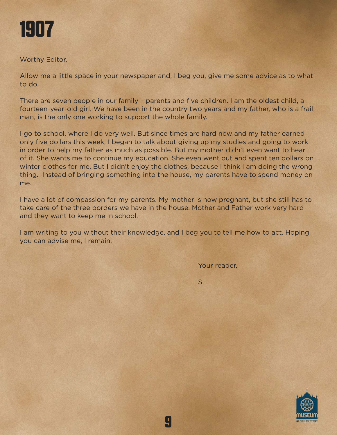

## Worthy Editor,

Allow me a little space in your newspaper and, I beg you, give me some advice as to what to do.

There are seven people in our family – parents and five children. I am the oldest child, a fourteen-year-old girl. We have been in the country two years and my father, who is a frail man, is the only one working to support the whole family.

I go to school, where I do very well. But since times are hard now and my father earned only five dollars this week, I began to talk about giving up my studies and going to work in order to help my father as much as possible. But my mother didn't even want to hear of it. She wants me to continue my education. She even went out and spent ten dollars on winter clothes for me. But I didn't enjoy the clothes, because I think I am doing the wrong thing. Instead of bringing something into the house, my parents have to spend money on me.

I have a lot of compassion for my parents. My mother is now pregnant, but she still has to take care of the three borders we have in the house. Mother and Father work very hard and they want to keep me in school.

I am writing to you without their knowledge, and I beg you to tell me how to act. Hoping you can advise me, I remain,

Your reader,

S.

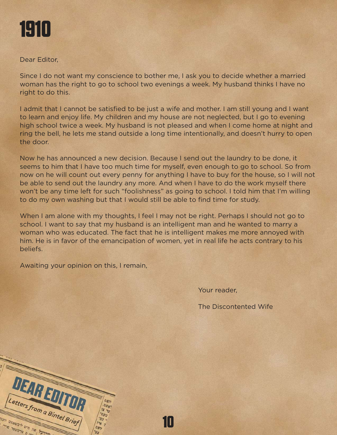

Dear Editor,

DEAR ED

etters from a Bintel Brief

Since I do not want my conscience to bother me, I ask you to decide whether a married woman has the right to go to school two evenings a week. My husband thinks I have no right to do this.

I admit that I cannot be satisfied to be just a wife and mother. I am still young and I want to learn and enjoy life. My children and my house are not neglected, but I go to evening high school twice a week. My husband is not pleased and when I come home at night and ring the bell, he lets me stand outside a long time intentionally, and doesn't hurry to open the door.

Now he has announced a new decision. Because I send out the laundry to be done, it seems to him that I have too much time for myself, even enough to go to school. So from now on he will count out every penny for anything I have to buy for the house, so I will not be able to send out the laundry any more. And when I have to do the work myself there won't be any time left for such "foolishness" as going to school. I told him that I'm willing to do my own washing but that I would still be able to find time for study.

When I am alone with my thoughts, I feel I may not be right. Perhaps I should not go to school. I want to say that my husband is an intelligent man and he wanted to marry a woman who was educated. The fact that he is intelligent makes me more annoyed with him. He is in favor of the emancipation of women, yet in real life he acts contrary to his beliefs.

**10**

Awaiting your opinion on this, I remain,

Your reader,

The Discontented Wife